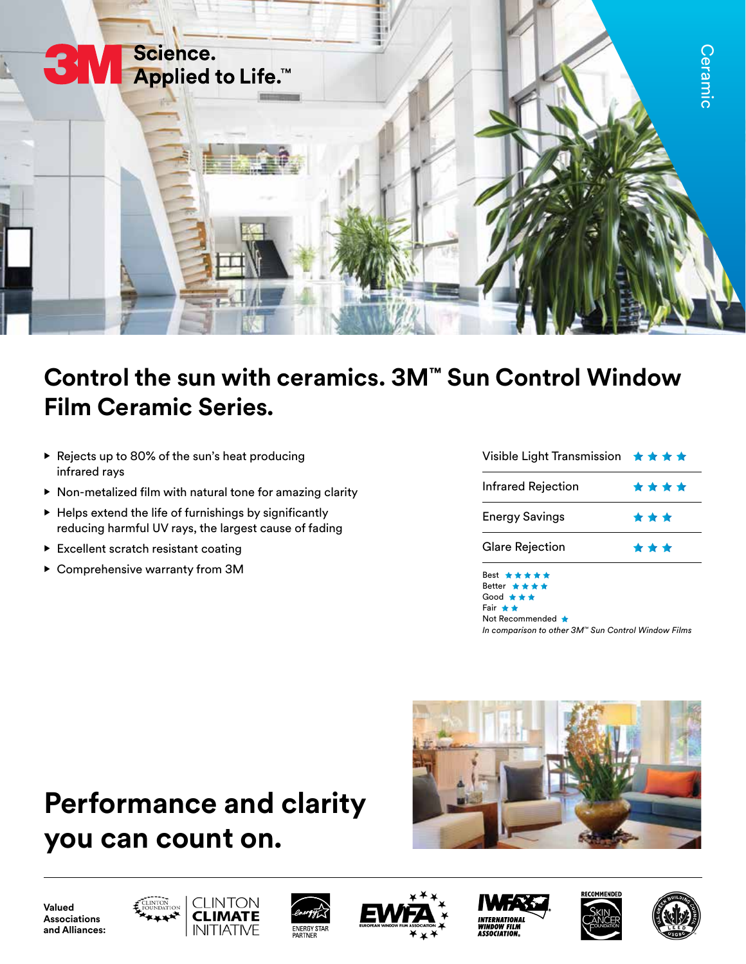

## **Control the sun with ceramics. 3M™ Sun Control Window Film Ceramic Series.**

- Rejects up to 80% of the sun's heat producing infrared rays
- Non-metalized film with natural tone for amazing clarity
- Helps extend the life of furnishings by significantly reducing harmful UV rays, the largest cause of fading
- Excellent scratch resistant coating
- Comprehensive warranty from 3M

| Visible Light Transmission ★★★★ |      |  |  |  |
|---------------------------------|------|--|--|--|
| <b>Infrared Rejection</b>       | **** |  |  |  |
| <b>Energy Savings</b>           | ***  |  |  |  |
| <b>Glare Rejection</b>          | ***  |  |  |  |
| Best *****<br>Better ★★★★       |      |  |  |  |

Good \*\*\* Fair  $\star \star$ Not Recommended *In comparison to other 3M™ Sun Control Window Films*

## **Performance and clarity you can count on.**